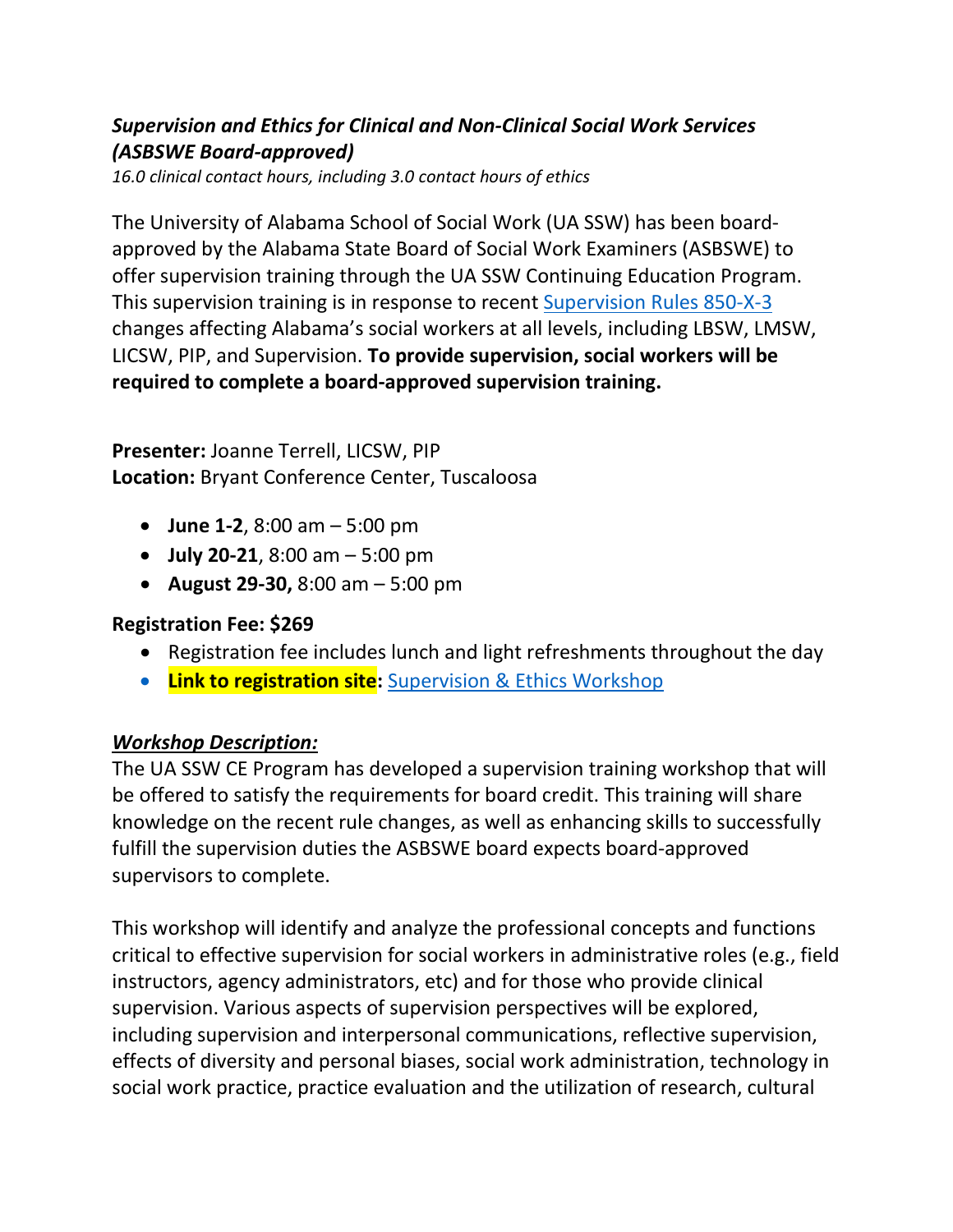## *Supervision and Ethics for Clinical and Non-Clinical Social Work Services (ASBSWE Board-approved)*

*16.0 clinical contact hours, including 3.0 contact hours of ethics*

The University of Alabama School of Social Work (UA SSW) has been boardapproved by the Alabama State Board of Social Work Examiners (ASBSWE) to offer supervision training through the UA SSW Continuing Education Program. This supervision training is in response to recent [Supervision Rules 850-X-3](https://socialwork.alabama.gov/PDF/admincode/850-X-03SupervisionFinal.pdf) changes affecting Alabama's social workers at all levels, including LBSW, LMSW, LICSW, PIP, and Supervision. **To provide supervision, social workers will be required to complete a board-approved supervision training.**

**Presenter:** Joanne Terrell, LICSW, PIP **Location:** Bryant Conference Center, Tuscaloosa

- **June 1-2**, 8:00 am 5:00 pm
- **July 20-21**, 8:00 am 5:00 pm
- **August 29-30,** 8:00 am 5:00 pm

## **Registration Fee: \$269**

- Registration fee includes lunch and light refreshments throughout the day
- **Link to registration site:** [Supervision & Ethics Workshop](https://training.ua.edu/supervision-ethics/)

## *Workshop Description:*

The UA SSW CE Program has developed a supervision training workshop that will be offered to satisfy the requirements for board credit. This training will share knowledge on the recent rule changes, as well as enhancing skills to successfully fulfill the supervision duties the ASBSWE board expects board-approved supervisors to complete.

This workshop will identify and analyze the professional concepts and functions critical to effective supervision for social workers in administrative roles (e.g., field instructors, agency administrators, etc) and for those who provide clinical supervision. Various aspects of supervision perspectives will be explored, including supervision and interpersonal communications, reflective supervision, effects of diversity and personal biases, social work administration, technology in social work practice, practice evaluation and the utilization of research, cultural